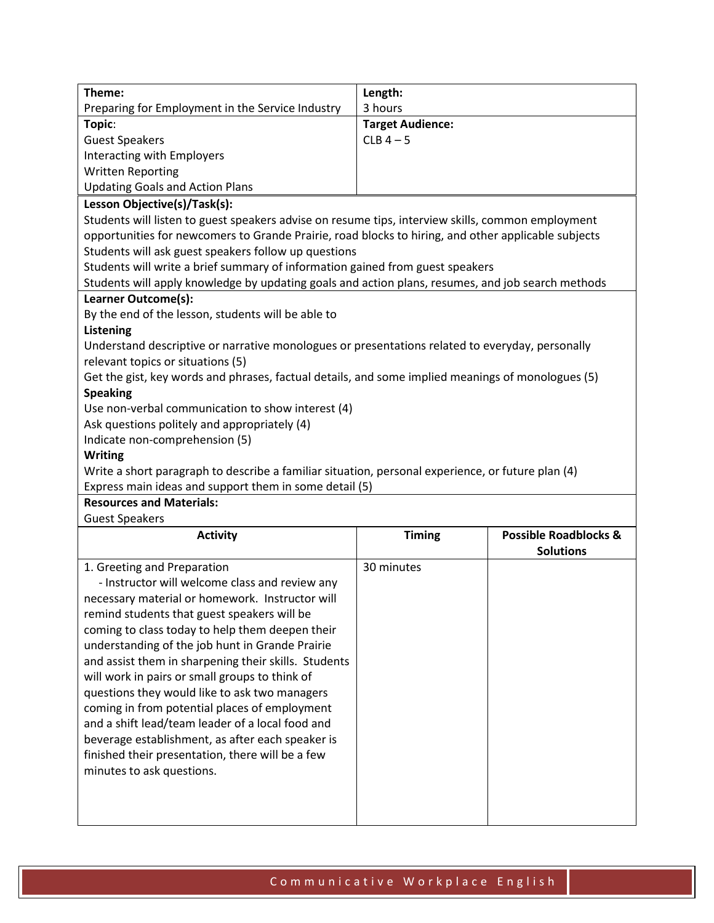| Theme:                                                                                              | Length:                 |                                  |  |
|-----------------------------------------------------------------------------------------------------|-------------------------|----------------------------------|--|
| Preparing for Employment in the Service Industry                                                    | 3 hours                 |                                  |  |
| Topic:                                                                                              | <b>Target Audience:</b> |                                  |  |
| <b>Guest Speakers</b>                                                                               | $CLB$ 4 - 5             |                                  |  |
| Interacting with Employers                                                                          |                         |                                  |  |
| <b>Written Reporting</b>                                                                            |                         |                                  |  |
| <b>Updating Goals and Action Plans</b>                                                              |                         |                                  |  |
| Lesson Objective(s)/Task(s):                                                                        |                         |                                  |  |
| Students will listen to guest speakers advise on resume tips, interview skills, common employment   |                         |                                  |  |
| opportunities for newcomers to Grande Prairie, road blocks to hiring, and other applicable subjects |                         |                                  |  |
| Students will ask guest speakers follow up questions                                                |                         |                                  |  |
|                                                                                                     |                         |                                  |  |
| Students will write a brief summary of information gained from guest speakers                       |                         |                                  |  |
| Students will apply knowledge by updating goals and action plans, resumes, and job search methods   |                         |                                  |  |
| Learner Outcome(s):                                                                                 |                         |                                  |  |
| By the end of the lesson, students will be able to                                                  |                         |                                  |  |
| <b>Listening</b>                                                                                    |                         |                                  |  |
| Understand descriptive or narrative monologues or presentations related to everyday, personally     |                         |                                  |  |
| relevant topics or situations (5)                                                                   |                         |                                  |  |
| Get the gist, key words and phrases, factual details, and some implied meanings of monologues (5)   |                         |                                  |  |
| <b>Speaking</b>                                                                                     |                         |                                  |  |
| Use non-verbal communication to show interest (4)                                                   |                         |                                  |  |
| Ask questions politely and appropriately (4)                                                        |                         |                                  |  |
| Indicate non-comprehension (5)                                                                      |                         |                                  |  |
| <b>Writing</b>                                                                                      |                         |                                  |  |
| Write a short paragraph to describe a familiar situation, personal experience, or future plan (4)   |                         |                                  |  |
| Express main ideas and support them in some detail (5)                                              |                         |                                  |  |
| <b>Resources and Materials:</b>                                                                     |                         |                                  |  |
| <b>Guest Speakers</b>                                                                               |                         |                                  |  |
| <b>Activity</b>                                                                                     | <b>Timing</b>           | <b>Possible Roadblocks &amp;</b> |  |
|                                                                                                     |                         | <b>Solutions</b>                 |  |
|                                                                                                     |                         |                                  |  |
| 1. Greeting and Preparation                                                                         | 30 minutes              |                                  |  |
| - Instructor will welcome class and review any                                                      |                         |                                  |  |
| necessary material or homework. Instructor will                                                     |                         |                                  |  |
| remind students that guest speakers will be                                                         |                         |                                  |  |
| coming to class today to help them deepen their                                                     |                         |                                  |  |
| understanding of the job hunt in Grande Prairie                                                     |                         |                                  |  |
| and assist them in sharpening their skills. Students                                                |                         |                                  |  |
| will work in pairs or small groups to think of                                                      |                         |                                  |  |
| questions they would like to ask two managers                                                       |                         |                                  |  |
| coming in from potential places of employment                                                       |                         |                                  |  |
| and a shift lead/team leader of a local food and                                                    |                         |                                  |  |
| beverage establishment, as after each speaker is                                                    |                         |                                  |  |
| finished their presentation, there will be a few                                                    |                         |                                  |  |
| minutes to ask questions.                                                                           |                         |                                  |  |
|                                                                                                     |                         |                                  |  |
|                                                                                                     |                         |                                  |  |
|                                                                                                     |                         |                                  |  |